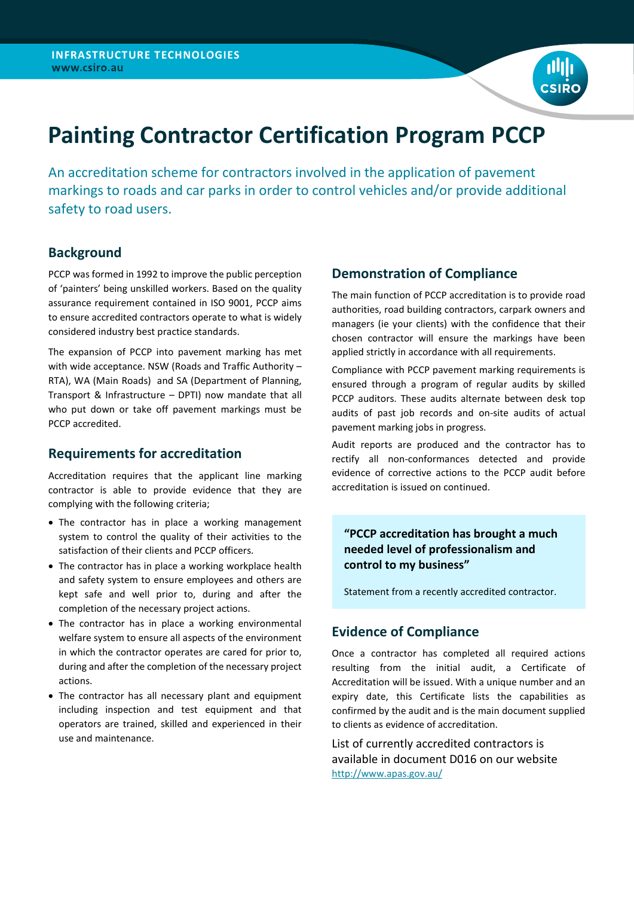

# **Painting Contractor Certification Program PCCP**

An accreditation scheme for contractors involved in the application of pavement markings to roads and car parks in order to control vehicles and/or provide additional safety to road users.

### **Background**

PCCP was formed in 1992 to improve the public perception of 'painters' being unskilled workers. Based on the quality assurance requirement contained in ISO 9001, PCCP aims to ensure accredited contractors operate to what is widely considered industry best practice standards.

The expansion of PCCP into pavement marking has met with wide acceptance. NSW (Roads and Traffic Authority – RTA), WA (Main Roads) and SA (Department of Planning, Transport & Infrastructure – DPTI) now mandate that all who put down or take off pavement markings must be PCCP accredited.

### **Requirements for accreditation**

Accreditation requires that the applicant line marking contractor is able to provide evidence that they are complying with the following criteria;

- The contractor has in place a working management system to control the quality of their activities to the satisfaction of their clients and PCCP officers.
- The contractor has in place a working workplace health and safety system to ensure employees and others are kept safe and well prior to, during and after the completion of the necessary project actions.
- The contractor has in place a working environmental welfare system to ensure all aspects of the environment in which the contractor operates are cared for prior to, during and after the completion of the necessary project actions.
- The contractor has all necessary plant and equipment including inspection and test equipment and that operators are trained, skilled and experienced in their use and maintenance.

### **Demonstration of Compliance**

The main function of PCCP accreditation is to provide road authorities, road building contractors, carpark owners and managers (ie your clients) with the confidence that their chosen contractor will ensure the markings have been applied strictly in accordance with all requirements.

Compliance with PCCP pavement marking requirements is ensured through a program of regular audits by skilled PCCP auditors. These audits alternate between desk top audits of past job records and on-site audits of actual pavement marking jobs in progress.

Audit reports are produced and the contractor has to rectify all non-conformances detected and provide evidence of corrective actions to the PCCP audit before accreditation is issued on continued.

### **"PCCP accreditation has brought a much needed level of professionalism and control to my business"**

Statement from a recently accredited contractor.

### **Evidence of Compliance**

Once a contractor has completed all required actions resulting from the initial audit, a Certificate of Accreditation will be issued. With a unique number and an expiry date, this Certificate lists the capabilities as confirmed by the audit and is the main document supplied to clients as evidence of accreditation.

List of currently accredited contractors is available in document D016 on our website <http://www.apas.gov.au/>